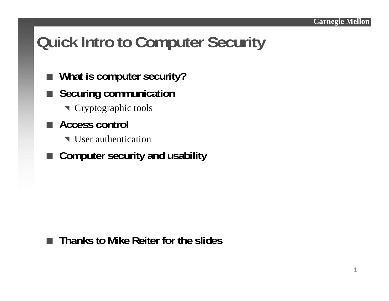### **Quick Intro to Computer Security**

- $\blacksquare$ **What is computer security?**
- a a **Securing communication**
	- **T** Cryptographic tools
- **Access control**
	- User authentication
- **Computer security and usability**

#### **Thanks to Mike Reiter for the slides**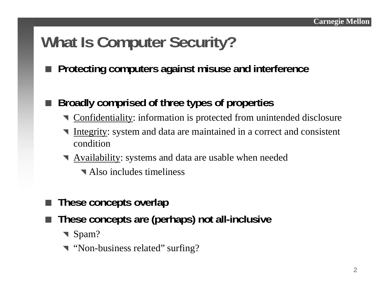### **What Is Computer Security?**

**Protecting computers against misuse and interference**

#### × **Broadly comprised of three types of properties**

- **T** Confidentiality: information is protected from unintended disclosure
- **Integrity:** system and data are maintained in a correct and consistent condition
- **N** Availability: systems and data are usable when needed
	- **N** Also includes timeliness
- × **These concepts overlap**
- **College These concepts are (perhaps) not all-inclusive**
	- ▼ Spam?
	- **T** "Non-business related" surfing?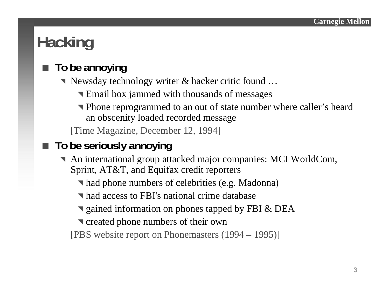## **Hacking**

#### × **To be annoying**

- ^ Newsday technology writer & hacker critic found …
	- **Email box jammed with thousands of messages**
	- ^ Phone reprogrammed to an out of state number where caller's heard an obscenity loaded recorded message

[Time Magazine, December 12, 1994]

#### **The State To be seriously annoying**

- ^ An international group attacked major companies: MCI WorldCom, Sprint, AT&T, and Equifax credit reporters
	- ^ had phone numbers of celebrities (e.g. Madonna)
	- ^ had access to FBI's national crime database
	- **v** gained information on phones tapped by FBI & DEA
	- **T** created phone numbers of their own

[PBS website report on Phonemasters (1994 – 1995)]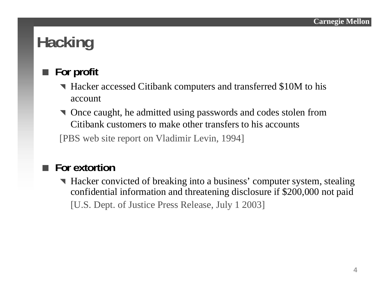## **Hacking**

#### F. **For profit**

- ^ Hacker accessed Citibank computers and transferred \$10M to his account
- ^ Once caught, he admitted using passwords and codes stolen from Citibank customers to make other transfers to his accounts

[PBS web site report on Vladimir Levin, 1994]

### ■ For extortior

^ Hacker convicted of breaking into a business' computer system, stealing confidential information and threatening disclosure if \$200,000 not paid [U.S. Dept. of Justice Press Release, July 1 2003]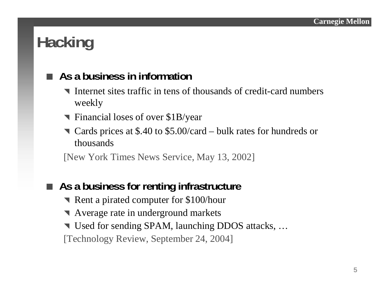## **Hacking**

#### **As a business in information**

- ^ Internet sites traffic in tens of thousands of credit-card numbers weekly
- ^ Financial loses of over \$1B/year
- ^ Cards prices at \$.40 to \$5.00/card bulk rates for hundreds or thousands

[New York Times News Service, May 13, 2002]

### **As a business for renting infrastructure**

- Rent a pirated computer for \$100/hour
- **N** Average rate in underground markets
- ▼ Used for sending SPAM, launching DDOS attacks, …

[Technology Review, September 24, 2004]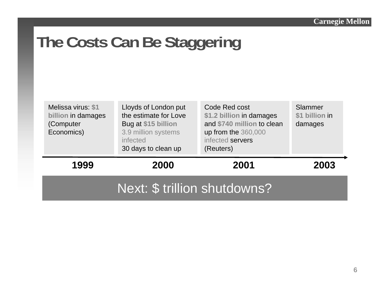## **The Costs Can Be Staggering**

| Melissa virus: \$1<br>billion in damages<br>(Computer<br>Economics) | Lloyds of London put<br>the estimate for Love<br>Bug at \$15 billion<br>3.9 million systems<br><i>infected</i><br>30 days to clean up | Code Red cost<br>\$1.2 billion in damages<br>and \$740 million to clean<br>up from the 360,000<br>infected servers<br>(Reuters) | Slammer<br>\$1 billion in<br>damages |
|---------------------------------------------------------------------|---------------------------------------------------------------------------------------------------------------------------------------|---------------------------------------------------------------------------------------------------------------------------------|--------------------------------------|
| 1999                                                                | 2000                                                                                                                                  | 2001                                                                                                                            | 2003                                 |
| Next: \$ trillion shutdowns?                                        |                                                                                                                                       |                                                                                                                                 |                                      |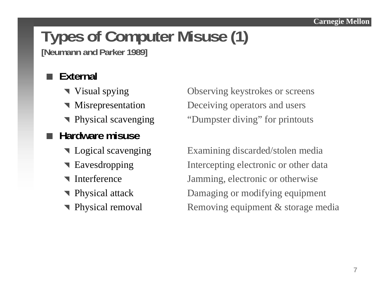# **Types of Computer Misuse (1)**

**[Neumann and Parker 1989]**

#### **External**

- Visual spying
- Misrepresentation
- Physical scavenging

### **■ Hardware misuse**

- Ullet Logical scavenging
- Eavesdropping
- Interference
- Physical attack
- Physical removal

Observing keystrokes or screens Deceiving operators and users "Dumpster diving" for printouts

Examining discarded/stolen media Intercepting electronic or other data Jamming, electronic or otherwise Damaging or modifying equipment Removing equipment  $&$  storage media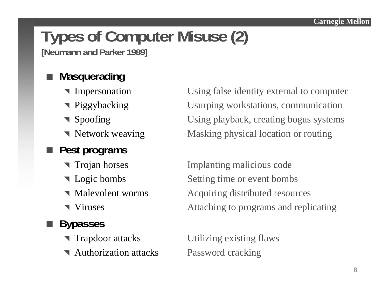### **Types of Computer Misuse (2) [Neumann and Parker 1989]**

#### **Masquerading**

- Impersonation
- Piggybacking
- Spoofing
- Network weaving

### **Pest programs**

- Trojan horses
- $\blacksquare$  Logic bombs
- Malevolent worms
- Viruses

### **Bypasses**

- Trapdoor attacks
- **Authorization attacks** Password cracking

Using false identity external to computer Usurping workstations, communication Using playback, creating bogus systems Masking physical location or routing

Implanting malicious code Setting time or event bombs Acquiring distributed resources Attaching to programs and replicating

Utilizing existing flaws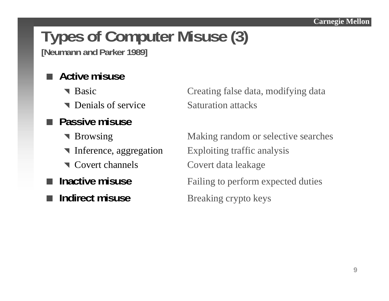# **Types of Computer Misuse (3)**

**[Neumann and Parker 1989]**

#### **Active misuse**

- Basic
- **T** Denials of service Saturation attacks
- **Passive misuse**
	- Browsing
	-
	- Covert channels
- $\blacksquare$  Inactive misuse
- **Indirect misuse**

Creating false data, modifying data

Making random or selective searches **Therence, aggregation** Exploiting traffic analysis Covert data leakage Failing to perform expected duties **Breaking crypto keys**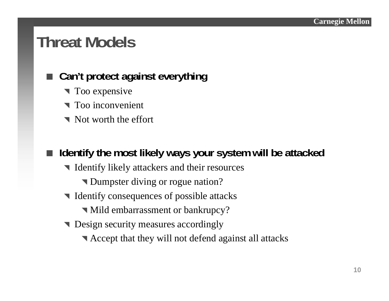### **Threat Models**

#### **Can't protect against everything**

- $\blacksquare$  Too expensive
- Too inconvenient
- Not worth the effort

### ■ Identify the most likely ways your system will be attacked

- ^ Identify likely attackers and their resources
	- **T** Dumpster diving or rogue nation?
- $\blacksquare$  Identify consequences of possible attacks
	- ^ Mild embarrassment or bankrupcy?
- **Design security measures accordingly** 
	- ^ Accept that they will not defend against all attacks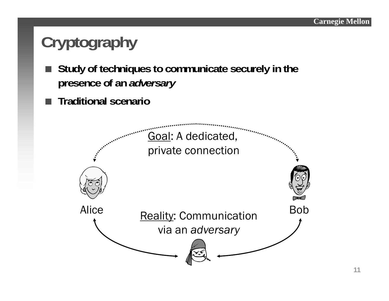## **Cryptography**

- F. **Study of techniques to communicate securely in the presence of an** *adversary*
- **Traditional scenario**

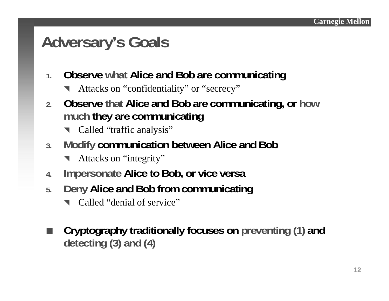### **Adversary's Goals**

- **1. Observe what Alice and Bob are communicating**
	- **1** Attacks on "confidentiality" or "secrecy"
- **2. Observe that Alice and Bob are communicating, or how much they are communicating**
	- **T** Called "traffic analysis"
- **3. Modify communication between Alice and Bob**
	- **\** Attacks on "integrity"
- **4.Impersonate Alice to Bob, or vice versa**
- **5. Deny Alice and Bob from communicating**
	- **1** Called "denial of service"
- **STEP Cryptography traditionally focuses on preventing (1) and detecting (3) and (4)**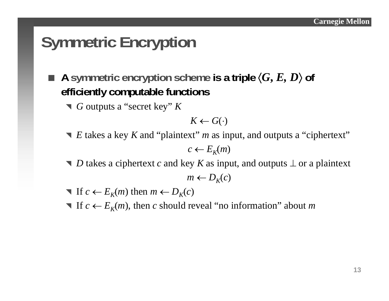## **Symmetric Encryption**

- × ■ A symmetric encryption scheme is a triple  $\langle G, E, D \rangle$  of **efficiently computable functions**
	- ^ *G* outputs a "secret key" *K*

$$
K \leftarrow G(\cdot)
$$

- **▼** *E* takes a key *K* and "plaintext" *m* as input, and outputs a "ciphertext"  $c \leftarrow E_K(m)$
- *D* takes a ciphertext *c* and key *K* as input, and outputs  $\perp$  or a plaintext  $m \leftarrow D_K(c)$
- $\blacksquare$  If  $c \leftarrow E_K(m)$  then  $m \leftarrow D_K(c)$
- **T** If  $c \leftarrow E_K(m)$ , then c should reveal "no information" about m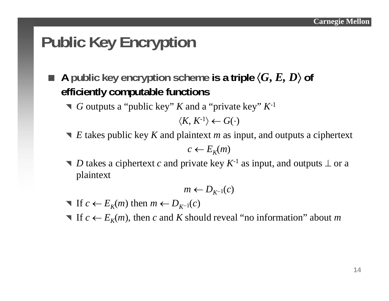## **Public Key Encryption**

×  $\blacksquare$  A public key encryption scheme is a triple  $\langle G, E, D \rangle$  of **efficiently computable functions**

^ *G* outputs a "public key" *K* and a "private key" *K*-1

 $\langle K,\,K^{\text{-}1}\rangle \leftarrow G(\cdot)$ 

■ *E* takes public key *K* and plaintext *m* as input, and outputs a ciphertext

 $c \leftarrow E_K(m)$ 

■ *D* takes a ciphertext *c* and private key  $K^{-1}$  as input, and outputs  $\perp$  or a plaintext

*m* ←  $D_{K^{-1}}(c)$ 

- $\blacksquare$  If  $c \leftarrow E_K(m)$  then  $m \leftarrow D_{K^{-1}}(c)$
- **T** If  $c \leftarrow E_K(m)$ , then c and K should reveal "no information" about m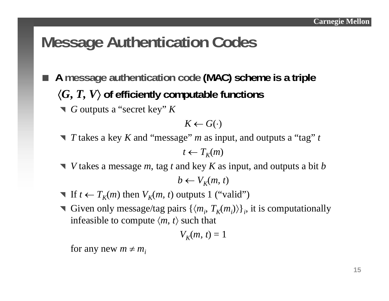### **Message Authentication Codes**

- F. **A message authentication code (MAC) scheme is a triple** 〈 *G***,** *T, V*〉 **of efficiently computable functions**
	- ^ *G* outputs a "secret key" *K*

$$
K \leftarrow G(\cdot)
$$

^ *T* takes a key *K* and "message" *m* as input, and outputs a "tag" *t*

 $t \leftarrow T_K(m)$ 

^ *V* takes a message *<sup>m</sup>*, tag *<sup>t</sup>*and key *K* as input, and outputs a bit *b*

$$
b \leftarrow V_K(m, t)
$$

- **T** If  $t \leftarrow T_K(m)$  then  $V_K(m, t)$  outputs 1 ("valid")
- **T** Given only message/tag pairs  $\{\langle m_i, T_K(m_i) \rangle\}_i$ , it is computationally infeasible to compute  $\langle m, \, t \rangle$  such that

$$
V_K(m, t) = 1
$$

for any new  $m \neq m_i$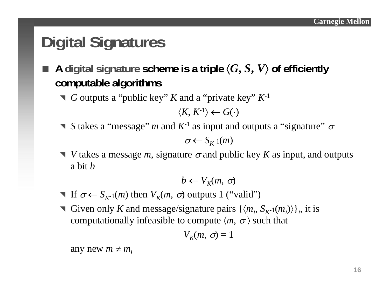## **Digital Signatures**

- ×  $\blacksquare$  A digital signature scheme is a triple  $\langle G, S, V \rangle$  of efficiently **computable algorithms**
	- ^ *G* outputs a "public key" *K* and a "private key" *K*-1

$$
\langle K, K^{-1} \rangle \leftarrow G(\cdot)
$$

**S** takes a "message" *m* and  $K^{-1}$  as input and outputs a "signature"  $\sigma$ 

$$
\sigma \leftarrow S_{K^{-1}}(m)
$$

 $\blacktriangledown$  *V* takes a message *m*, signature  $\sigma$  and public key *K* as input, and outputs a bit*b*

$$
b \leftarrow V_K(m, \sigma)
$$

- **T** If  $\sigma \leftarrow S_{K^{-1}}(m)$  then  $V_K(m, \sigma)$  outputs 1 ("valid")
- Given only *K* and message/signature pairs  $\{\langle m_i, S_{K-1}(m_i) \rangle\}_i$ , it is computationally infeasible to compute  $\langle m, \sigma \rangle$  such that

$$
V_K(m,\,\sigma)=1
$$

any new  $m \neq m_i$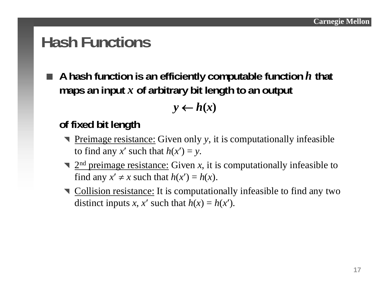### **Hash Functions**

 **A hash function is an efficiently computable function** *h* **that maps an input** *<sup>x</sup>***of arbitrary bit length to an output**

$$
y \leftarrow h(x)
$$

### **of fixed bit length**

- ^ Preimage resistance: Given only *y*, it is computationally infeasible to find any *x'* such that  $h(x') = y$ .
- $\sum_{n=1}^{\infty}$  2<sup>nd</sup> preimage resistance: Given *x*, it is computationally infeasible to find any  $x' \neq x$  such that  $h(x') = h(x)$ .
- $\blacksquare$  Collision resistance: It is computationally infeasible to find any two distinct inputs *x*, *x'* such that  $h(x) = h(x')$ .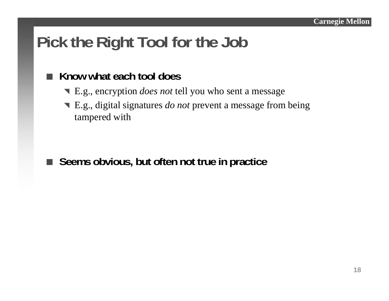## **Pick the Right Tool for the Job**

#### **The Co Know what each tool does**

- ^ E.g., encryption *does not* tell you who sent a message
- ^ E.g., digital signatures *do not* prevent a message from being tampered with

■ Seems obvious, but often not true in practice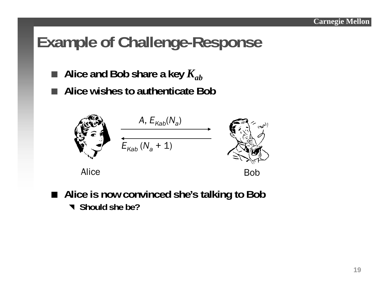### **Example of Challenge-Response**

- $\blacksquare$  Alice and Bob share a key  $K_{ab}$
- Г **Alice wishes to authenticate Bob**



Alice

e Bob

■ Alice is now convinced she's talking to Bob ^ **Should she be?**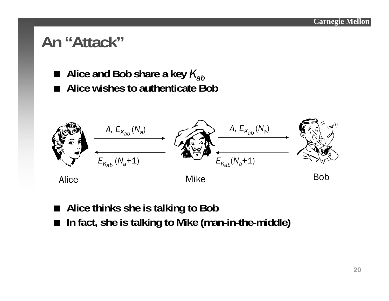### **An "Attack"**

- Alice and Bob share a key  $K_{ab}$
- **Alice wishes to authenticate Bob**



- **Alice thinks she is talking to Bob**
- $\blacksquare$ **In fact, she is talking to Mike (man-in-the-middle)**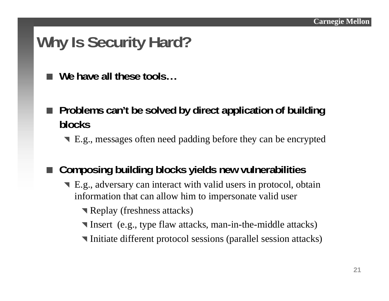### **Why Is Security Hard?**

**We have all these tools…**

- Problems can't be solved by direct application of building **blocks**
	- ^ E.g., messages often need padding before they can be encrypted

#### **Composing building blocks yields new vulnerabilities**

E.g., adversary can interact with valid users in protocol, obtain information that can allow him to impersonate valid user

**Replay (freshness attacks)** 

- ^ Insert (e.g., type flaw attacks, man-in-the-middle attacks)
- ^ Initiate different protocol sessions (parallel session attacks)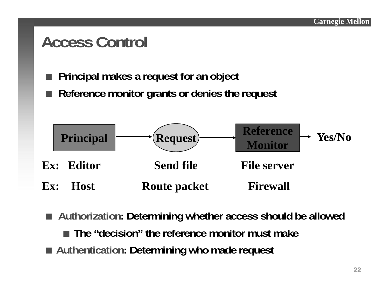### **Access Control**

- П **Principal makes a request for an object**
- Reference monitor grants or denies the request



- Authorization: Determining whether access should be allowed **The "decision" the reference monitor must make**
- Authentication: Determining who made request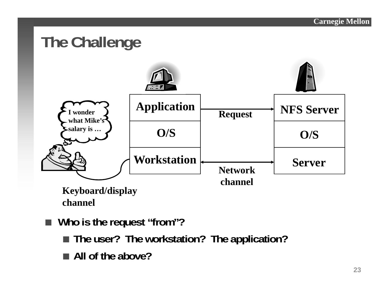

- **Who is the request "from"?**
	- **The user? The workstation? The application?**
	- **All of the above?**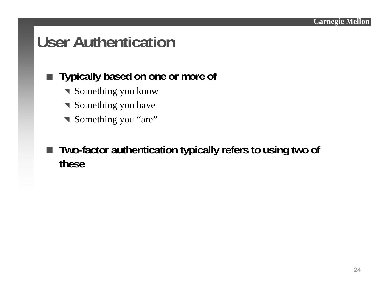### **User Authentication**

### **Typically based on one or more of**

- **Something you know**
- **Something you have**
- Something you "are"

 $\Box$  **Two-factor authentication typically refers to using two of these**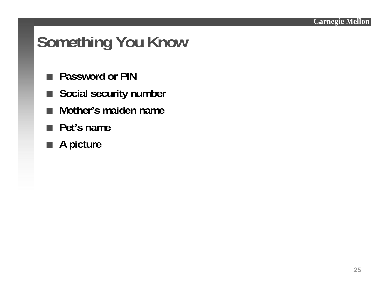## **Something You Know**

- **Password or PIN**
- Social security number
- **The Co Mother's maiden name**
- **Pet's name**
- **A picture**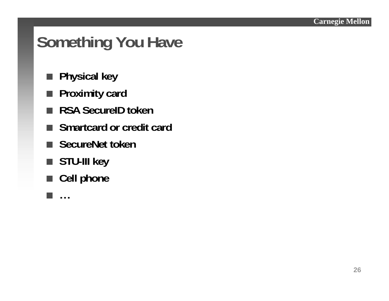**26**

## **Something You Have**

- **Physical key**
- **Proximity card**
- RSA SecureID toker
- **The Co Smartcard or credit card**
- SecureNet toker
- **STU-III key**
- Cell phone

▅

**…**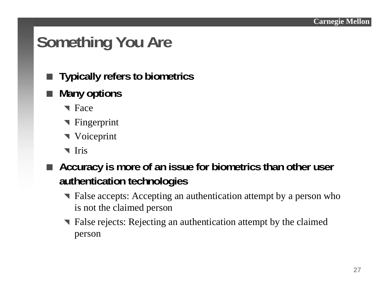## **Something You Are**

- Typically refers to biometrics
- **Many options**
	- **T** Face
	- **T** Fingerprint
	- $\blacksquare$  Voiceprint
	- ^ Iris
- Accuracy is more of an issue for biometrics than other user **authentication technologies**
	- ^ False accepts: Accepting an authentication attempt by a person who is not the claimed person
	- ^ False rejects: Rejecting an authentication attempt by the claimed person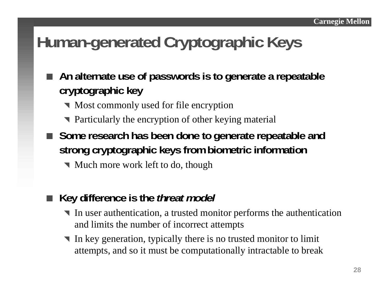### **Human-generated Cryptographic Keys**

- **An alternate use of passwords is to generate a repeatable cryptographic key**
	- $\blacksquare$  Most commonly used for file encryption
	- Particularly the encryption of other keying material
- Some research has been done to generate repeatable and **strong cryptographic keys from biometric information**
	- $\blacksquare$  Much more work left to do, though
	- **Key difference is the** *threat model*

r.

- ^ In user authentication, a trusted monitor performs the authentication and limits the number of incorrect attempts
- **1**  In key generation, typically there is no trusted monitor to limit attempts, and so it must be computationally intractable to break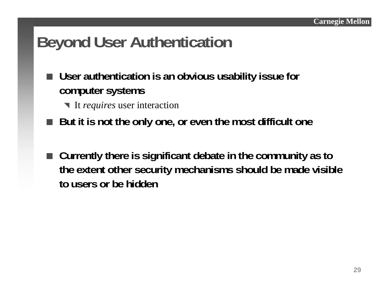### **Beyond User Authentication**

- **User authentication is an obvious usability issue for computer systems**
	- ^ It *requires* user interaction
- **But it is not the only one, or even the most difficult one**
- Currently there is significant debate in the community as to **the extent other security mechanisms should be made visible to users or be hidden**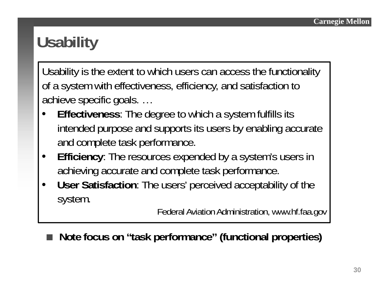## **Usability**

Usability is the extent to which users can access the functionality of a system with effectiveness, efficiency, and satisfaction to achieve specific goals. …

- • **Effectiveness**: The degree to which a system fulfills its intended purpose and supports its users by enabling accurate and complete task performance.
- $\bullet$  **Efficiency**: The resources expended by a system's users in achieving accurate and complete task performance.
- $\bullet$  **User Satisfaction**: The users' perceived acceptability of the system.

Federal Aviation Administration, www.hf.faa.gov

**Note focus on "task performance" (functional properties)**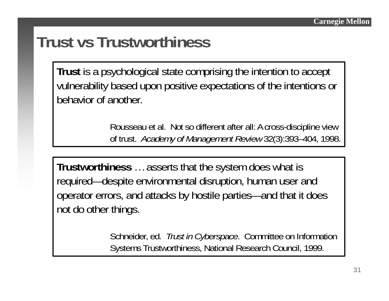### **Trust vs Trustworthiness**

**Trust** is a psychological state comprising the intention to accept vulnerability based upon positive expectations of the intentions or behavior of another.

> Rousseau et al. Not so different after all: A cross-discipline view of trust. *Academy of Management Review* 32(3):393–404, 1998.

**Trustworthiness** … asserts that the system does what is required—despite environmental disruption, human user and operator errors, and attacks by hostile parties—and that it does not do other things.

> Schneider, ed. *Trust in Cyberspace*. Committee on Information Systems Trustworthiness, National Research Council, 1999.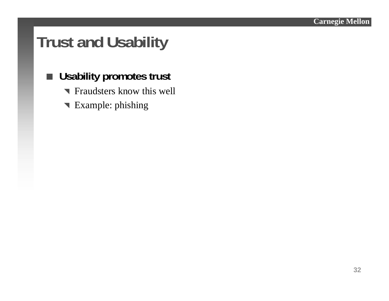### **Trust and Usability**

### **Usability promotes trust**

- **T** Fraudsters know this well
- **T** Example: phishing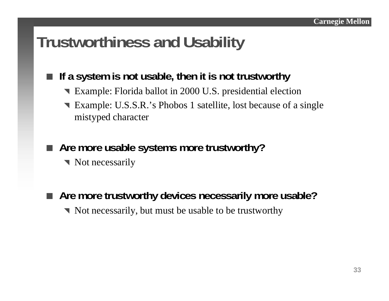### **Trustworthiness and Usability**

### **If a system is not usable, then it is not trustworthy**

- **Example: Florida ballot in 2000 U.S. presidential election**
- **T** Example: U.S.S.R.'s Phobos 1 satellite, lost because of a single mistyped character
- Are more usable systems more trustworthy?
	- Not necessarily
- **Are more trustworthy devices necessarily more usable?**
	- $\blacksquare$  Not necessarily, but must be usable to be trustworthy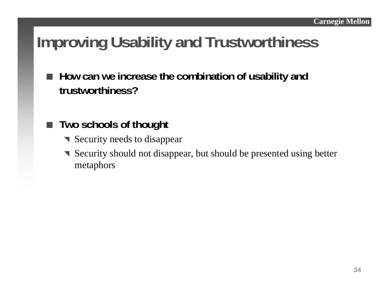## **Improving Usability and Trustworthiness**

- **How can we increase the combination of usability and trustworthiness?**
- **Two schools of thought**
	- **T** Security needs to disappear
	- **Security should not disappear, but should be presented using better** metaphors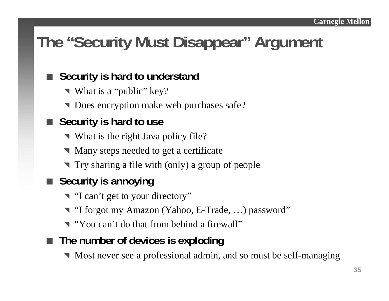## **The "Security Must Disappear" Argument**

#### **Security is hard to understand**

- ▼ What is a "public" key?
- **T** Does encryption make web purchases safe?

### ■ Security is hard to use

- What is the right Java policy file?
- $\blacksquare$  Many steps needed to get a certificate
- ^ Try sharing a file with (only) a group of people

### **Example 3 Security is annoying**

- T "I can't get to your directory"
- ^ "I forgot my Amazon (Yahoo, E-Trade, …) password"
- **T** "You can't do that from behind a firewall"
- **The number of devices is exploding**
	- ^ Most never see a professional admin, and so must be self-managing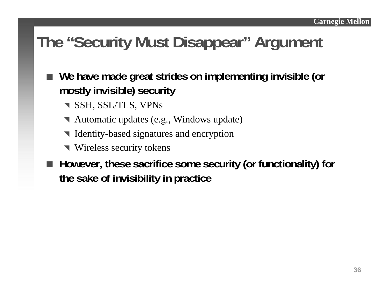## **The "Security Must Disappear" Argument**

- **We have made great strides on implementing invisible (or mostly invisible) security**
	- **T** SSH, SSL/TLS, VPNs
	- ^ Automatic updates (e.g., Windows update)
	- ^ Identity-based signatures and encryption
	- **Wireless security tokens**
- However, these sacrifice some security (or functionality) for **the sake of invisibility in practice**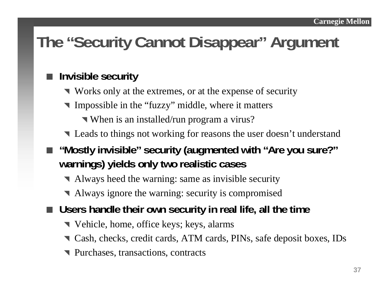## **The "Security Cannot Disappear" Argument**

### **Invisible security**

- ^ Works only at the extremes, or at the expense of security
- **The Impossible in the "fuzzy" middle, where it matters** 
	- ^ When is an installed/run program a virus?
- **T** Leads to things not working for reasons the user doesn't understand
- "Mostly invisible" security (augmented with "Are you sure?" **warnings) yields only two realistic cases**
	- ^ Always heed the warning: same as invisible security
	- ^ Always ignore the warning: security is compromised
- **Users handle their own security in real life, all the time**
	- ^ Vehicle, home, office keys; keys, alarms
	- ^ Cash, checks, credit cards, ATM cards, PINs, safe deposit boxes, IDs
	- **T** Purchases, transactions, contracts